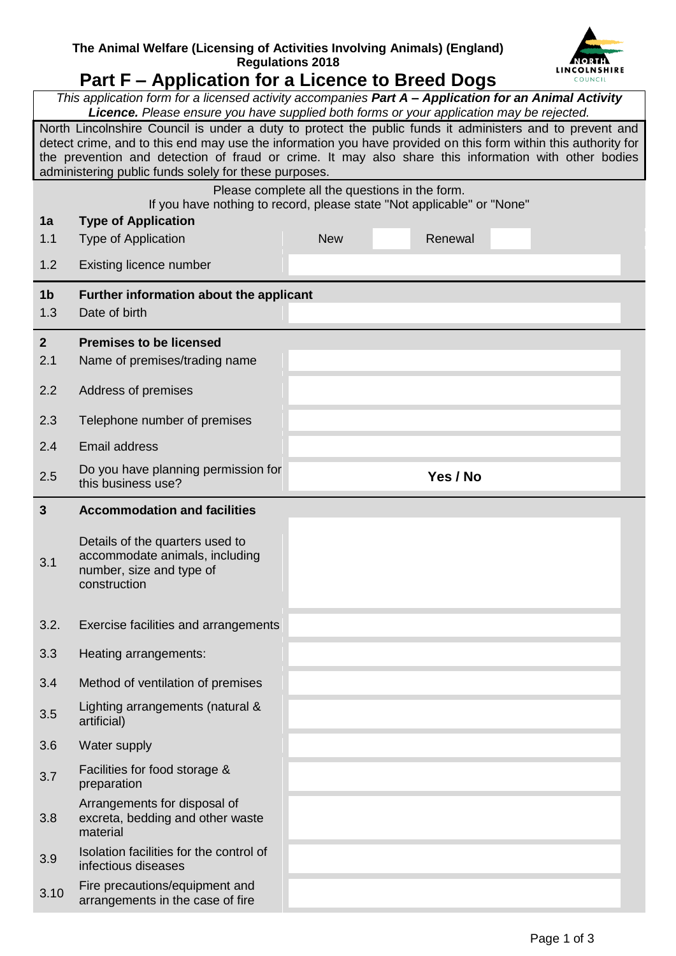## **The Animal Welfare (Licensing of Activities Involving Animals) (England) Regulations 2018**



## **Part F – Application for a Licence to Breed Dogs**

|                       | This application form for a licensed activity accompanies Part A - Application for an Animal Activity<br>Licence. Please ensure you have supplied both forms or your application may be rejected.                                                                                                                                                                                           |                                                |          |  |  |
|-----------------------|---------------------------------------------------------------------------------------------------------------------------------------------------------------------------------------------------------------------------------------------------------------------------------------------------------------------------------------------------------------------------------------------|------------------------------------------------|----------|--|--|
|                       | North Lincolnshire Council is under a duty to protect the public funds it administers and to prevent and<br>detect crime, and to this end may use the information you have provided on this form within this authority for<br>the prevention and detection of fraud or crime. It may also share this information with other bodies<br>administering public funds solely for these purposes. |                                                |          |  |  |
|                       |                                                                                                                                                                                                                                                                                                                                                                                             | Please complete all the questions in the form. |          |  |  |
| 1a                    | If you have nothing to record, please state "Not applicable" or "None"<br><b>Type of Application</b>                                                                                                                                                                                                                                                                                        |                                                |          |  |  |
| 1.1                   | Type of Application                                                                                                                                                                                                                                                                                                                                                                         | <b>New</b>                                     | Renewal  |  |  |
| 1.2                   | Existing licence number                                                                                                                                                                                                                                                                                                                                                                     |                                                |          |  |  |
| 1 <sub>b</sub><br>1.3 | Further information about the applicant<br>Date of birth                                                                                                                                                                                                                                                                                                                                    |                                                |          |  |  |
| $\overline{2}$        | <b>Premises to be licensed</b>                                                                                                                                                                                                                                                                                                                                                              |                                                |          |  |  |
| 2.1                   | Name of premises/trading name                                                                                                                                                                                                                                                                                                                                                               |                                                |          |  |  |
| 2.2                   | Address of premises                                                                                                                                                                                                                                                                                                                                                                         |                                                |          |  |  |
| 2.3                   | Telephone number of premises                                                                                                                                                                                                                                                                                                                                                                |                                                |          |  |  |
| 2.4                   | <b>Email address</b>                                                                                                                                                                                                                                                                                                                                                                        |                                                |          |  |  |
| 2.5                   | Do you have planning permission for<br>this business use?                                                                                                                                                                                                                                                                                                                                   |                                                | Yes / No |  |  |
| $\mathbf{3}$          | <b>Accommodation and facilities</b>                                                                                                                                                                                                                                                                                                                                                         |                                                |          |  |  |
|                       |                                                                                                                                                                                                                                                                                                                                                                                             |                                                |          |  |  |
| 3.1                   | Details of the quarters used to<br>accommodate animals, including<br>number, size and type of<br>construction                                                                                                                                                                                                                                                                               |                                                |          |  |  |
| 3.2.                  | Exercise facilities and arrangements                                                                                                                                                                                                                                                                                                                                                        |                                                |          |  |  |
| 3.3                   | Heating arrangements:                                                                                                                                                                                                                                                                                                                                                                       |                                                |          |  |  |
| 3.4                   | Method of ventilation of premises                                                                                                                                                                                                                                                                                                                                                           |                                                |          |  |  |
| 3.5                   | Lighting arrangements (natural &<br>artificial)                                                                                                                                                                                                                                                                                                                                             |                                                |          |  |  |
| 3.6                   | Water supply                                                                                                                                                                                                                                                                                                                                                                                |                                                |          |  |  |
| 3.7                   | Facilities for food storage &<br>preparation                                                                                                                                                                                                                                                                                                                                                |                                                |          |  |  |
| 3.8                   | Arrangements for disposal of<br>excreta, bedding and other waste<br>material                                                                                                                                                                                                                                                                                                                |                                                |          |  |  |
| 3.9                   | Isolation facilities for the control of<br>infectious diseases                                                                                                                                                                                                                                                                                                                              |                                                |          |  |  |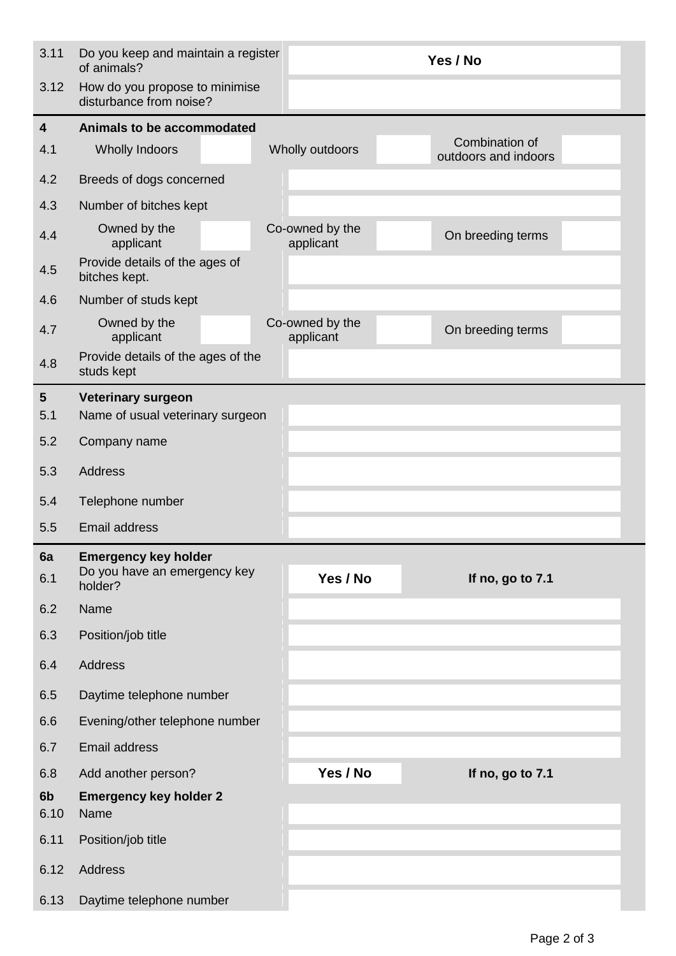| 3.11                    | Do you keep and maintain a register<br>of animals?        | Yes / No                                                  |  |  |
|-------------------------|-----------------------------------------------------------|-----------------------------------------------------------|--|--|
| 3.12                    | How do you propose to minimise<br>disturbance from noise? |                                                           |  |  |
| $\overline{4}$          | Animals to be accommodated                                |                                                           |  |  |
| 4.1                     | <b>Wholly Indoors</b>                                     | Combination of<br>Wholly outdoors<br>outdoors and indoors |  |  |
| 4.2                     | Breeds of dogs concerned                                  |                                                           |  |  |
| 4.3                     | Number of bitches kept                                    |                                                           |  |  |
| 4.4                     | Owned by the<br>applicant                                 | Co-owned by the<br>On breeding terms<br>applicant         |  |  |
| 4.5                     | Provide details of the ages of<br>bitches kept.           |                                                           |  |  |
| 4.6                     | Number of studs kept                                      |                                                           |  |  |
| 4.7                     | Owned by the<br>applicant                                 | Co-owned by the<br>On breeding terms<br>applicant         |  |  |
| 4.8                     | Provide details of the ages of the<br>studs kept          |                                                           |  |  |
| $\overline{\mathbf{5}}$ | <b>Veterinary surgeon</b>                                 |                                                           |  |  |
| 5.1                     | Name of usual veterinary surgeon                          |                                                           |  |  |
| 5.2                     | Company name                                              |                                                           |  |  |
| 5.3                     | <b>Address</b>                                            |                                                           |  |  |
| 5.4                     | Telephone number                                          |                                                           |  |  |
| 5.5                     | <b>Email address</b>                                      |                                                           |  |  |
| 6a                      | <b>Emergency key holder</b>                               |                                                           |  |  |
| 6.1                     | Do you have an emergency key<br>holder?                   | Yes / No<br>If no, go to 7.1                              |  |  |
| 6.2                     | Name                                                      |                                                           |  |  |
| 6.3                     | Position/job title                                        |                                                           |  |  |
| 6.4                     | Address                                                   |                                                           |  |  |
| 6.5                     | Daytime telephone number                                  |                                                           |  |  |
| 6.6                     | Evening/other telephone number                            |                                                           |  |  |
| 6.7                     | <b>Email address</b>                                      |                                                           |  |  |
| 6.8                     | Add another person?                                       | Yes / No<br>If no, go to 7.1                              |  |  |
| 6b<br>6.10              | <b>Emergency key holder 2</b><br>Name                     |                                                           |  |  |
| 6.11                    | Position/job title                                        |                                                           |  |  |
| 6.12                    | Address                                                   |                                                           |  |  |
| 6.13                    | Daytime telephone number                                  |                                                           |  |  |